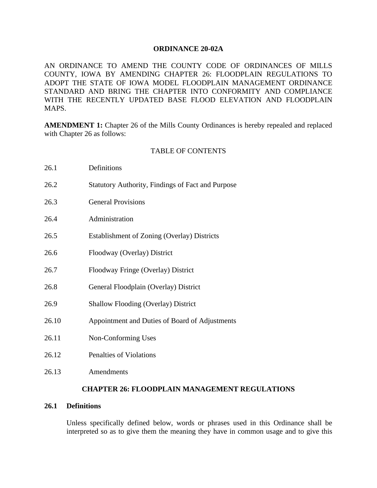### **ORDINANCE 20-02A**

AN ORDINANCE TO AMEND THE COUNTY CODE OF ORDINANCES OF MILLS COUNTY, IOWA BY AMENDING CHAPTER 26: FLOODPLAIN REGULATIONS TO ADOPT THE STATE OF IOWA MODEL FLOODPLAIN MANAGEMENT ORDINANCE STANDARD AND BRING THE CHAPTER INTO CONFORMITY AND COMPLIANCE WITH THE RECENTLY UPDATED BASE FLOOD ELEVATION AND FLOODPLAIN MAPS.

**AMENDMENT 1:** Chapter 26 of the Mills County Ordinances is hereby repealed and replaced with Chapter 26 as follows:

### TABLE OF CONTENTS

| 26.1  | Definitions                                              |
|-------|----------------------------------------------------------|
| 26.2  | <b>Statutory Authority, Findings of Fact and Purpose</b> |
| 26.3  | <b>General Provisions</b>                                |
| 26.4  | Administration                                           |
| 26.5  | Establishment of Zoning (Overlay) Districts              |
| 26.6  | Floodway (Overlay) District                              |
| 26.7  | Floodway Fringe (Overlay) District                       |
| 26.8  | General Floodplain (Overlay) District                    |
| 26.9  | <b>Shallow Flooding (Overlay) District</b>               |
| 26.10 | Appointment and Duties of Board of Adjustments           |
| 26.11 | Non-Conforming Uses                                      |
| 26.12 | Penalties of Violations                                  |
| 26.13 | Amendments                                               |

### **CHAPTER 26: FLOODPLAIN MANAGEMENT REGULATIONS**

## **26.1 Definitions**

Unless specifically defined below, words or phrases used in this Ordinance shall be interpreted so as to give them the meaning they have in common usage and to give this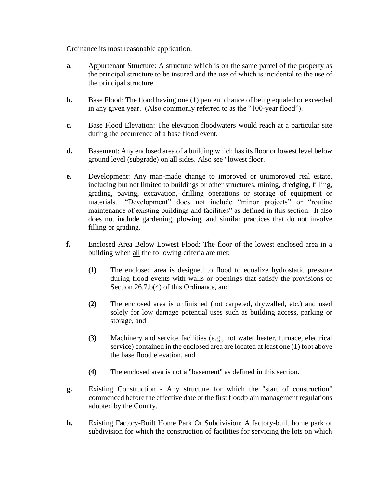Ordinance its most reasonable application.

- **a.** Appurtenant Structure: A structure which is on the same parcel of the property as the principal structure to be insured and the use of which is incidental to the use of the principal structure.
- **b.** Base Flood: The flood having one (1) percent chance of being equaled or exceeded in any given year. (Also commonly referred to as the "100-year flood").
- **c.** Base Flood Elevation: The elevation floodwaters would reach at a particular site during the occurrence of a base flood event.
- **d.** Basement: Any enclosed area of a building which has its floor or lowest level below ground level (subgrade) on all sides. Also see "lowest floor."
- **e.** Development: Any man-made change to improved or unimproved real estate, including but not limited to buildings or other structures, mining, dredging, filling, grading, paving, excavation, drilling operations or storage of equipment or materials. "Development" does not include "minor projects" or "routine maintenance of existing buildings and facilities" as defined in this section. It also does not include gardening, plowing, and similar practices that do not involve filling or grading.
- **f.** Enclosed Area Below Lowest Flood: The floor of the lowest enclosed area in a building when all the following criteria are met:
	- **(1)** The enclosed area is designed to flood to equalize hydrostatic pressure during flood events with walls or openings that satisfy the provisions of Section 26.7.b(4) of this Ordinance, and
	- **(2)** The enclosed area is unfinished (not carpeted, drywalled, etc.) and used solely for low damage potential uses such as building access, parking or storage, and
	- **(3)** Machinery and service facilities (e.g., hot water heater, furnace, electrical service) contained in the enclosed area are located at least one (1) foot above the base flood elevation, and
	- **(4)** The enclosed area is not a "basement" as defined in this section.
- **g.** Existing Construction Any structure for which the "start of construction" commenced before the effective date of the first floodplain management regulations adopted by the County.
- **h.** Existing Factory-Built Home Park Or Subdivision: A factory-built home park or subdivision for which the construction of facilities for servicing the lots on which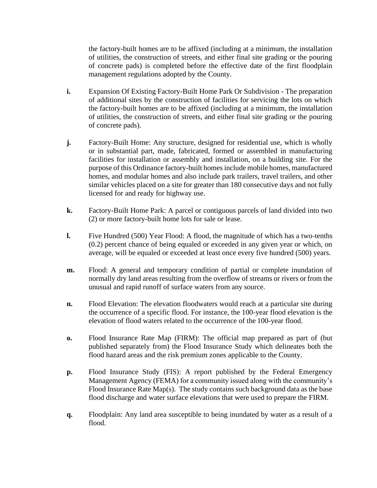the factory-built homes are to be affixed (including at a minimum, the installation of utilities, the construction of streets, and either final site grading or the pouring of concrete pads) is completed before the effective date of the first floodplain management regulations adopted by the County.

- **i.** Expansion Of Existing Factory-Built Home Park Or Subdivision The preparation of additional sites by the construction of facilities for servicing the lots on which the factory-built homes are to be affixed (including at a minimum, the installation of utilities, the construction of streets, and either final site grading or the pouring of concrete pads).
- **j.** Factory-Built Home: Any structure, designed for residential use, which is wholly or in substantial part, made, fabricated, formed or assembled in manufacturing facilities for installation or assembly and installation, on a building site. For the purpose of this Ordinance factory-built homes include mobile homes, manufactured homes, and modular homes and also include park trailers, travel trailers, and other similar vehicles placed on a site for greater than 180 consecutive days and not fully licensed for and ready for highway use.
- **k.** Factory-Built Home Park: A parcel or contiguous parcels of land divided into two (2) or more factory-built home lots for sale or lease.
- **l.** Five Hundred (500) Year Flood: A flood, the magnitude of which has a two-tenths (0.2) percent chance of being equaled or exceeded in any given year or which, on average, will be equaled or exceeded at least once every five hundred (500) years.
- **m.** Flood: A general and temporary condition of partial or complete inundation of normally dry land areas resulting from the overflow of streams or rivers or from the unusual and rapid runoff of surface waters from any source.
- **n.** Flood Elevation: The elevation floodwaters would reach at a particular site during the occurrence of a specific flood. For instance, the 100-year flood elevation is the elevation of flood waters related to the occurrence of the 100-year flood.
- **o.** Flood Insurance Rate Map (FIRM): The official map prepared as part of (but published separately from) the Flood Insurance Study which delineates both the flood hazard areas and the risk premium zones applicable to the County.
- **p.** Flood Insurance Study (FIS): A report published by the Federal Emergency Management Agency (FEMA) for a community issued along with the community's Flood Insurance Rate Map(s). The study contains such background data as the base flood discharge and water surface elevations that were used to prepare the FIRM.
- **q.** Floodplain: Any land area susceptible to being inundated by water as a result of a flood.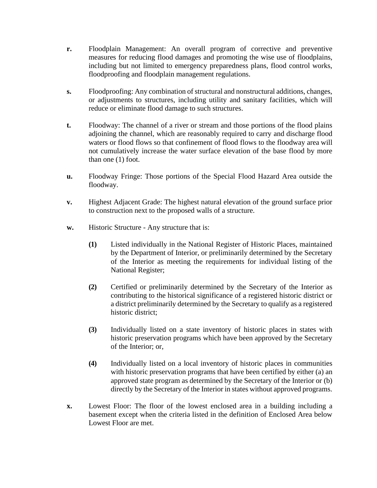- **r.** Floodplain Management: An overall program of corrective and preventive measures for reducing flood damages and promoting the wise use of floodplains, including but not limited to emergency preparedness plans, flood control works, floodproofing and floodplain management regulations.
- **s.** Floodproofing: Any combination of structural and nonstructural additions, changes, or adjustments to structures, including utility and sanitary facilities, which will reduce or eliminate flood damage to such structures.
- **t.** Floodway: The channel of a river or stream and those portions of the flood plains adjoining the channel, which are reasonably required to carry and discharge flood waters or flood flows so that confinement of flood flows to the floodway area will not cumulatively increase the water surface elevation of the base flood by more than one (1) foot.
- **u.** Floodway Fringe: Those portions of the Special Flood Hazard Area outside the floodway.
- **v.** Highest Adjacent Grade: The highest natural elevation of the ground surface prior to construction next to the proposed walls of a structure.
- **w.** Historic Structure Any structure that is:
	- **(1)** Listed individually in the National Register of Historic Places, maintained by the Department of Interior, or preliminarily determined by the Secretary of the Interior as meeting the requirements for individual listing of the National Register;
	- **(2)** Certified or preliminarily determined by the Secretary of the Interior as contributing to the historical significance of a registered historic district or a district preliminarily determined by the Secretary to qualify as a registered historic district;
	- **(3)** Individually listed on a state inventory of historic places in states with historic preservation programs which have been approved by the Secretary of the Interior; or,
	- **(4)** Individually listed on a local inventory of historic places in communities with historic preservation programs that have been certified by either (a) an approved state program as determined by the Secretary of the Interior or (b) directly by the Secretary of the Interior in states without approved programs.
- **x.** Lowest Floor: The floor of the lowest enclosed area in a building including a basement except when the criteria listed in the definition of Enclosed Area below Lowest Floor are met.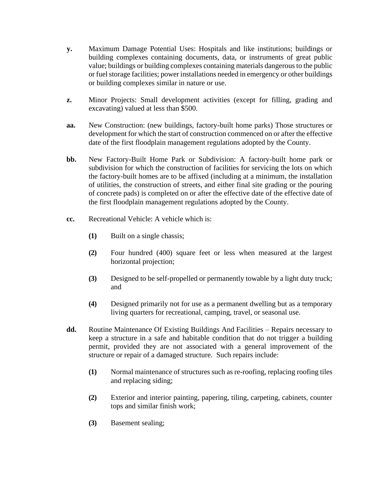- **y.** Maximum Damage Potential Uses: Hospitals and like institutions; buildings or building complexes containing documents, data, or instruments of great public value; buildings or building complexes containing materials dangerous to the public or fuel storage facilities; power installations needed in emergency or other buildings or building complexes similar in nature or use.
- **z.** Minor Projects: Small development activities (except for filling, grading and excavating) valued at less than \$500.
- **aa.** New Construction: (new buildings, factory-built home parks) Those structures or development for which the start of construction commenced on or after the effective date of the first floodplain management regulations adopted by the County.
- **bb.** New Factory-Built Home Park or Subdivision: A factory-built home park or subdivision for which the construction of facilities for servicing the lots on which the factory-built homes are to be affixed (including at a minimum, the installation of utilities, the construction of streets, and either final site grading or the pouring of concrete pads) is completed on or after the effective date of the effective date of the first floodplain management regulations adopted by the County.
- **cc.** Recreational Vehicle: A vehicle which is:
	- **(1)** Built on a single chassis;
	- **(2)** Four hundred (400) square feet or less when measured at the largest horizontal projection;
	- **(3)** Designed to be self-propelled or permanently towable by a light duty truck; and
	- **(4)** Designed primarily not for use as a permanent dwelling but as a temporary living quarters for recreational, camping, travel, or seasonal use.
- **dd.** Routine Maintenance Of Existing Buildings And Facilities Repairs necessary to keep a structure in a safe and habitable condition that do not trigger a building permit, provided they are not associated with a general improvement of the structure or repair of a damaged structure. Such repairs include:
	- **(1)** Normal maintenance of structures such as re-roofing, replacing roofing tiles and replacing siding;
	- **(2)** Exterior and interior painting, papering, tiling, carpeting, cabinets, counter tops and similar finish work;
	- **(3)** Basement sealing;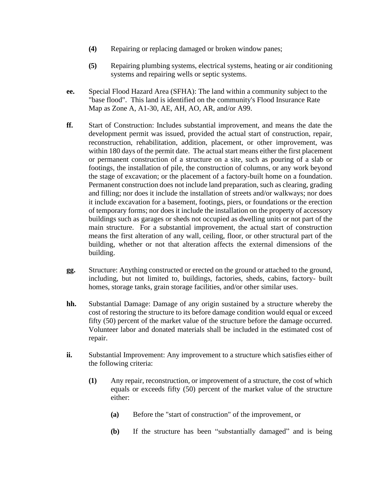- **(4)** Repairing or replacing damaged or broken window panes;
- **(5)** Repairing plumbing systems, electrical systems, heating or air conditioning systems and repairing wells or septic systems.
- **ee.** Special Flood Hazard Area (SFHA): The land within a community subject to the "base flood". This land is identified on the community's Flood Insurance Rate Map as Zone A, A1-30, AE, AH, AO, AR, and/or A99.
- **ff.** Start of Construction: Includes substantial improvement, and means the date the development permit was issued, provided the actual start of construction, repair, reconstruction, rehabilitation, addition, placement, or other improvement, was within 180 days of the permit date. The actual start means either the first placement or permanent construction of a structure on a site, such as pouring of a slab or footings, the installation of pile, the construction of columns, or any work beyond the stage of excavation; or the placement of a factory-built home on a foundation. Permanent construction does not include land preparation, such as clearing, grading and filling; nor does it include the installation of streets and/or walkways; nor does it include excavation for a basement, footings, piers, or foundations or the erection of temporary forms; nor does it include the installation on the property of accessory buildings such as garages or sheds not occupied as dwelling units or not part of the main structure. For a substantial improvement, the actual start of construction means the first alteration of any wall, ceiling, floor, or other structural part of the building, whether or not that alteration affects the external dimensions of the building.
- **gg.** Structure: Anything constructed or erected on the ground or attached to the ground, including, but not limited to, buildings, factories, sheds, cabins, factory- built homes, storage tanks, grain storage facilities, and/or other similar uses.
- **hh.** Substantial Damage: Damage of any origin sustained by a structure whereby the cost of restoring the structure to its before damage condition would equal or exceed fifty (50) percent of the market value of the structure before the damage occurred. Volunteer labor and donated materials shall be included in the estimated cost of repair.
- **ii.** Substantial Improvement: Any improvement to a structure which satisfies either of the following criteria:
	- **(1)** Any repair, reconstruction, or improvement of a structure, the cost of which equals or exceeds fifty (50) percent of the market value of the structure either:
		- **(a)** Before the "start of construction" of the improvement, or
		- **(b)** If the structure has been "substantially damaged" and is being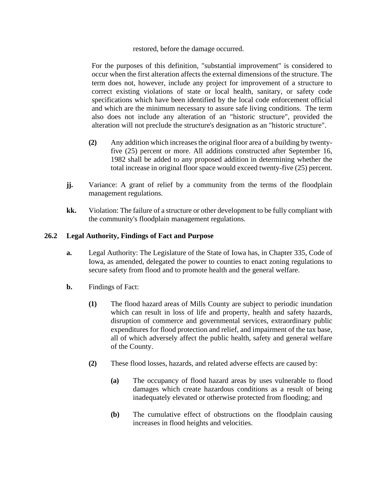### restored, before the damage occurred.

For the purposes of this definition, "substantial improvement" is considered to occur when the first alteration affects the external dimensions of the structure. The term does not, however, include any project for improvement of a structure to correct existing violations of state or local health, sanitary, or safety code specifications which have been identified by the local code enforcement official and which are the minimum necessary to assure safe living conditions. The term also does not include any alteration of an "historic structure", provided the alteration will not preclude the structure's designation as an "historic structure".

- **(2)** Any addition which increases the original floor area of a building by twentyfive (25) percent or more. All additions constructed after September 16, 1982 shall be added to any proposed addition in determining whether the total increase in original floor space would exceed twenty-five (25) percent.
- **jj.** Variance: A grant of relief by a community from the terms of the floodplain management regulations.
- **kk.** Violation: The failure of a structure or other development to be fully compliant with the community's floodplain management regulations.

## **26.2 Legal Authority, Findings of Fact and Purpose**

- **a.** Legal Authority: The Legislature of the State of Iowa has, in Chapter 335, Code of Iowa, as amended, delegated the power to counties to enact zoning regulations to secure safety from flood and to promote health and the general welfare.
- **b.** Findings of Fact:
	- **(1)** The flood hazard areas of Mills County are subject to periodic inundation which can result in loss of life and property, health and safety hazards, disruption of commerce and governmental services, extraordinary public expenditures for flood protection and relief, and impairment of the tax base, all of which adversely affect the public health, safety and general welfare of the County.
	- **(2)** These flood losses, hazards, and related adverse effects are caused by:
		- **(a)** The occupancy of flood hazard areas by uses vulnerable to flood damages which create hazardous conditions as a result of being inadequately elevated or otherwise protected from flooding; and
		- **(b)** The cumulative effect of obstructions on the floodplain causing increases in flood heights and velocities.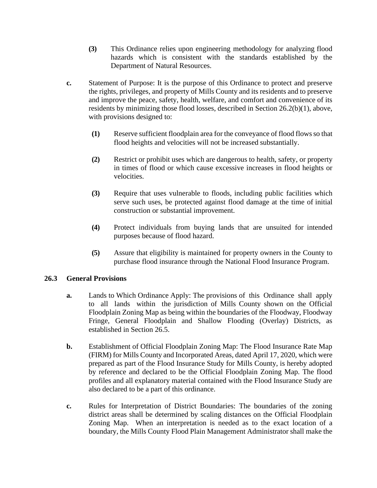- **(3)** This Ordinance relies upon engineering methodology for analyzing flood hazards which is consistent with the standards established by the Department of Natural Resources.
- **c.** Statement of Purpose: It is the purpose of this Ordinance to protect and preserve the rights, privileges, and property of Mills County and its residents and to preserve and improve the peace, safety, health, welfare, and comfort and convenience of its residents by minimizing those flood losses, described in Section 26.2(b)(1), above, with provisions designed to:
	- **(1)** Reserve sufficient floodplain area for the conveyance of flood flowsso that flood heights and velocities will not be increased substantially.
	- **(2)** Restrict or prohibit uses which are dangerous to health, safety, or property in times of flood or which cause excessive increases in flood heights or velocities.
	- **(3)** Require that uses vulnerable to floods, including public facilities which serve such uses, be protected against flood damage at the time of initial construction or substantial improvement.
	- **(4)** Protect individuals from buying lands that are unsuited for intended purposes because of flood hazard.
	- **(5)** Assure that eligibility is maintained for property owners in the County to purchase flood insurance through the National Flood Insurance Program.

# **26.3 General Provisions**

- **a.** Lands to Which Ordinance Apply: The provisions of this Ordinance shall apply to all lands within the jurisdiction of Mills County shown on the Official Floodplain Zoning Map as being within the boundaries of the Floodway, Floodway Fringe, General Floodplain and Shallow Flooding (Overlay) Districts, as established in Section 26.5.
- **b.** Establishment of Official Floodplain Zoning Map: The Flood Insurance Rate Map (FIRM) for Mills County and Incorporated Areas, dated April 17, 2020, which were prepared as part of the Flood Insurance Study for Mills County, is hereby adopted by reference and declared to be the Official Floodplain Zoning Map. The flood profiles and all explanatory material contained with the Flood Insurance Study are also declared to be a part of this ordinance.
- **c.** Rules for Interpretation of District Boundaries: The boundaries of the zoning district areas shall be determined by scaling distances on the Official Floodplain Zoning Map. When an interpretation is needed as to the exact location of a boundary, the Mills County Flood Plain Management Administrator shall make the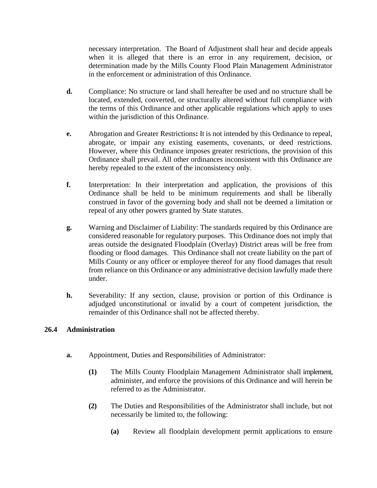necessary interpretation. The Board of Adjustment shall hear and decide appeals when it is alleged that there is an error in any requirement, decision, or determination made by the Mills County Flood Plain Management Administrator in the enforcement or administration of this Ordinance.

- **d.** Compliance: No structure or land shall hereafter be used and no structure shall be located, extended, converted, or structurally altered without full compliance with the terms of this Ordinance and other applicable regulations which apply to uses within the jurisdiction of this Ordinance.
- **e.** Abrogation and Greater Restrictions**:** It is not intended by this Ordinance to repeal, abrogate, or impair any existing easements, covenants, or deed restrictions. However, where this Ordinance imposes greater restrictions, the provision of this Ordinance shall prevail. All other ordinances inconsistent with this Ordinance are hereby repealed to the extent of the inconsistency only.
- **f.** Interpretation: In their interpretation and application, the provisions of this Ordinance shall be held to be minimum requirements and shall be liberally construed in favor of the governing body and shall not be deemed a limitation or repeal of any other powers granted by State statutes.
- **g.** Warning and Disclaimer of Liability: The standards required by this Ordinance are considered reasonable for regulatory purposes. This Ordinance does not imply that areas outside the designated Floodplain (Overlay) District areas will be free from flooding or flood damages. This Ordinance shall not create liability on the part of Mills County or any officer or employee thereof for any flood damages that result from reliance on this Ordinance or any administrative decision lawfully made there under.
- **h.** Severability: If any section, clause, provision or portion of this Ordinance is adjudged unconstitutional or invalid by a court of competent jurisdiction, the remainder of this Ordinance shall not be affected thereby.

# **26.4 Administration**

- **a.** Appointment, Duties and Responsibilities of Administrator:
	- **(1)** The Mills County Floodplain Management Administrator shall implement, administer, and enforce the provisions of this Ordinance and will herein be referred to as the Administrator.
	- **(2)** The Duties and Responsibilities of the Administrator shall include, but not necessarily be limited to, the following:
		- **(a)** Review all floodplain development permit applications to ensure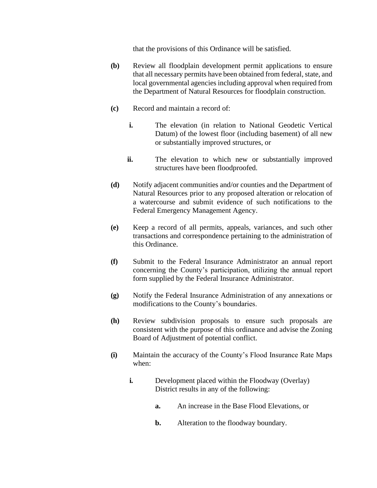that the provisions of this Ordinance will be satisfied.

- **(b)** Review all floodplain development permit applications to ensure that all necessary permits have been obtained from federal, state, and local governmental agencies including approval when required from the Department of Natural Resources for floodplain construction.
- **(c)** Record and maintain a record of:
	- **i.** The elevation (in relation to National Geodetic Vertical Datum) of the lowest floor (including basement) of all new or substantially improved structures, or
	- ii. The elevation to which new or substantially improved structures have been floodproofed.
- **(d)** Notify adjacent communities and/or counties and the Department of Natural Resources prior to any proposed alteration or relocation of a watercourse and submit evidence of such notifications to the Federal Emergency Management Agency.
- **(e)** Keep a record of all permits, appeals, variances, and such other transactions and correspondence pertaining to the administration of this Ordinance.
- **(f)** Submit to the Federal Insurance Administrator an annual report concerning the County's participation, utilizing the annual report form supplied by the Federal Insurance Administrator.
- **(g)** Notify the Federal Insurance Administration of any annexations or modifications to the County's boundaries.
- **(h)** Review subdivision proposals to ensure such proposals are consistent with the purpose of this ordinance and advise the Zoning Board of Adjustment of potential conflict.
- **(i)** Maintain the accuracy of the County's Flood Insurance Rate Maps when:
	- **i.** Development placed within the Floodway (Overlay) District results in any of the following:
		- **a.** An increase in the Base Flood Elevations, or
		- **b.** Alteration to the floodway boundary.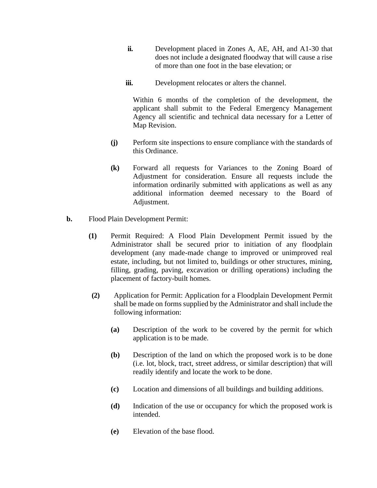- **ii.** Development placed in Zones A, AE, AH, and A1-30 that does not include a designated floodway that will cause a rise of more than one foot in the base elevation; or
- **iii.** Development relocates or alters the channel.

Within 6 months of the completion of the development, the applicant shall submit to the Federal Emergency Management Agency all scientific and technical data necessary for a Letter of Map Revision.

- **(j)** Perform site inspections to ensure compliance with the standards of this Ordinance.
- **(k)** Forward all requests for Variances to the Zoning Board of Adjustment for consideration. Ensure all requests include the information ordinarily submitted with applications as well as any additional information deemed necessary to the Board of Adjustment.
- **b.** Flood Plain Development Permit:
	- **(1)** Permit Required: A Flood Plain Development Permit issued by the Administrator shall be secured prior to initiation of any floodplain development (any made-made change to improved or unimproved real estate, including, but not limited to, buildings or other structures, mining, filling, grading, paving, excavation or drilling operations) including the placement of factory-built homes.
	- **(2)** Application for Permit: Application for a Floodplain Development Permit shall be made on forms supplied by the Administrator and shall include the following information:
		- **(a)** Description of the work to be covered by the permit for which application is to be made.
		- **(b)** Description of the land on which the proposed work is to be done (i.e. lot, block, tract, street address, or similar description) that will readily identify and locate the work to be done.
		- **(c)** Location and dimensions of all buildings and building additions.
		- **(d)** Indication of the use or occupancy for which the proposed work is intended.
		- **(e)** Elevation of the base flood.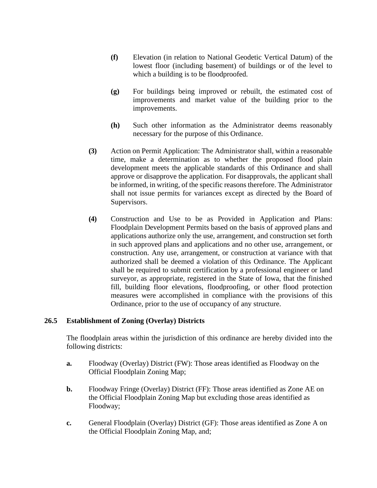- **(f)** Elevation (in relation to National Geodetic Vertical Datum) of the lowest floor (including basement) of buildings or of the level to which a building is to be floodproofed.
- **(g)** For buildings being improved or rebuilt, the estimated cost of improvements and market value of the building prior to the improvements.
- **(h)** Such other information as the Administrator deems reasonably necessary for the purpose of this Ordinance.
- **(3)** Action on Permit Application: The Administrator shall, within a reasonable time, make a determination as to whether the proposed flood plain development meets the applicable standards of this Ordinance and shall approve or disapprove the application. For disapprovals, the applicant shall be informed, in writing, of the specific reasons therefore. The Administrator shall not issue permits for variances except as directed by the Board of Supervisors.
- **(4)** Construction and Use to be as Provided in Application and Plans: Floodplain Development Permits based on the basis of approved plans and applications authorize only the use, arrangement, and construction set forth in such approved plans and applications and no other use, arrangement, or construction. Any use, arrangement, or construction at variance with that authorized shall be deemed a violation of this Ordinance. The Applicant shall be required to submit certification by a professional engineer or land surveyor, as appropriate, registered in the State of Iowa, that the finished fill, building floor elevations, floodproofing, or other flood protection measures were accomplished in compliance with the provisions of this Ordinance, prior to the use of occupancy of any structure.

### **26.5 Establishment of Zoning (Overlay) Districts**

The floodplain areas within the jurisdiction of this ordinance are hereby divided into the following districts:

- **a.** Floodway (Overlay) District (FW): Those areas identified as Floodway on the Official Floodplain Zoning Map;
- **b.** Floodway Fringe (Overlay) District (FF): Those areas identified as Zone AE on the Official Floodplain Zoning Map but excluding those areas identified as Floodway;
- **c.** General Floodplain (Overlay) District (GF): Those areas identified as Zone A on the Official Floodplain Zoning Map, and;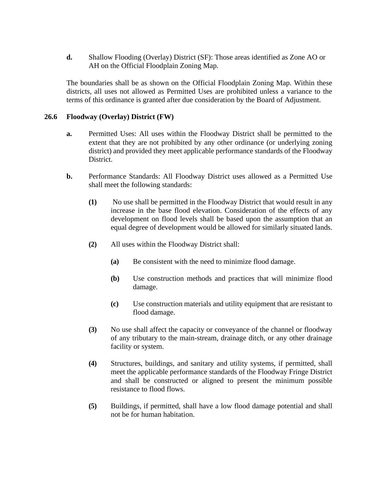**d.** Shallow Flooding (Overlay) District (SF): Those areas identified as Zone AO or AH on the Official Floodplain Zoning Map.

The boundaries shall be as shown on the Official Floodplain Zoning Map. Within these districts, all uses not allowed as Permitted Uses are prohibited unless a variance to the terms of this ordinance is granted after due consideration by the Board of Adjustment.

## **26.6 Floodway (Overlay) District (FW)**

- **a.** Permitted Uses: All uses within the Floodway District shall be permitted to the extent that they are not prohibited by any other ordinance (or underlying zoning district) and provided they meet applicable performance standards of the Floodway District.
- **b.** Performance Standards: All Floodway District uses allowed as a Permitted Use shall meet the following standards:
	- **(1)** No use shall be permitted in the Floodway District that would result in any increase in the base flood elevation. Consideration of the effects of any development on flood levels shall be based upon the assumption that an equal degree of development would be allowed for similarly situated lands.
	- **(2)** All uses within the Floodway District shall:
		- **(a)** Be consistent with the need to minimize flood damage.
		- **(b)** Use construction methods and practices that will minimize flood damage.
		- **(c)** Use construction materials and utility equipment that are resistant to flood damage.
	- **(3)** No use shall affect the capacity or conveyance of the channel or floodway of any tributary to the main-stream, drainage ditch, or any other drainage facility or system.
	- **(4)** Structures, buildings, and sanitary and utility systems, if permitted, shall meet the applicable performance standards of the Floodway Fringe District and shall be constructed or aligned to present the minimum possible resistance to flood flows.
	- **(5)** Buildings, if permitted, shall have a low flood damage potential and shall not be for human habitation.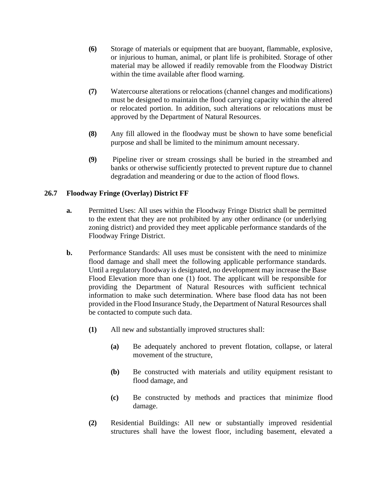- **(6)** Storage of materials or equipment that are buoyant, flammable, explosive, or injurious to human, animal, or plant life is prohibited. Storage of other material may be allowed if readily removable from the Floodway District within the time available after flood warning.
- **(7)** Watercourse alterations or relocations (channel changes and modifications) must be designed to maintain the flood carrying capacity within the altered or relocated portion. In addition, such alterations or relocations must be approved by the Department of Natural Resources.
- **(8)** Any fill allowed in the floodway must be shown to have some beneficial purpose and shall be limited to the minimum amount necessary.
- **(9)** Pipeline river or stream crossings shall be buried in the streambed and banks or otherwise sufficiently protected to prevent rupture due to channel degradation and meandering or due to the action of flood flows.

# **26.7 Floodway Fringe (Overlay) District FF**

- **a.** Permitted Uses: All uses within the Floodway Fringe District shall be permitted to the extent that they are not prohibited by any other ordinance (or underlying zoning district) and provided they meet applicable performance standards of the Floodway Fringe District.
- **b.** Performance Standards: All uses must be consistent with the need to minimize flood damage and shall meet the following applicable performance standards. Until a regulatory floodway is designated, no development may increase the Base Flood Elevation more than one (1) foot. The applicant will be responsible for providing the Department of Natural Resources with sufficient technical information to make such determination. Where base flood data has not been provided in the Flood Insurance Study, the Department of Natural Resources shall be contacted to compute such data.
	- **(1)** All new and substantially improved structures shall:
		- **(a)** Be adequately anchored to prevent flotation, collapse, or lateral movement of the structure,
		- **(b)** Be constructed with materials and utility equipment resistant to flood damage, and
		- **(c)** Be constructed by methods and practices that minimize flood damage.
	- **(2)** Residential Buildings: All new or substantially improved residential structures shall have the lowest floor, including basement, elevated a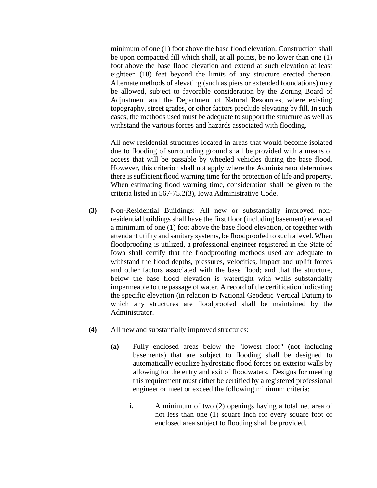minimum of one (1) foot above the base flood elevation. Construction shall be upon compacted fill which shall, at all points, be no lower than one (1) foot above the base flood elevation and extend at such elevation at least eighteen (18) feet beyond the limits of any structure erected thereon. Alternate methods of elevating (such as piers or extended foundations) may be allowed, subject to favorable consideration by the Zoning Board of Adjustment and the Department of Natural Resources, where existing topography, street grades, or other factors preclude elevating by fill. In such cases, the methods used must be adequate to support the structure as well as withstand the various forces and hazards associated with flooding.

All new residential structures located in areas that would become isolated due to flooding of surrounding ground shall be provided with a means of access that will be passable by wheeled vehicles during the base flood. However, this criterion shall not apply where the Administrator determines there is sufficient flood warning time for the protection of life and property. When estimating flood warning time, consideration shall be given to the criteria listed in 567-75.2(3), Iowa Administrative Code.

- **(3)** Non-Residential Buildings: All new or substantially improved nonresidential buildings shall have the first floor (including basement) elevated a minimum of one (1) foot above the base flood elevation, or together with attendant utility and sanitary systems, be floodproofed to such a level. When floodproofing is utilized, a professional engineer registered in the State of Iowa shall certify that the floodproofing methods used are adequate to withstand the flood depths, pressures, velocities, impact and uplift forces and other factors associated with the base flood; and that the structure, below the base flood elevation is watertight with walls substantially impermeable to the passage of water. A record of the certification indicating the specific elevation (in relation to National Geodetic Vertical Datum) to which any structures are floodproofed shall be maintained by the Administrator.
- **(4)** All new and substantially improved structures:
	- **(a)** Fully enclosed areas below the "lowest floor" (not including basements) that are subject to flooding shall be designed to automatically equalize hydrostatic flood forces on exterior walls by allowing for the entry and exit of floodwaters. Designs for meeting this requirement must either be certified by a registered professional engineer or meet or exceed the following minimum criteria:
		- **i.** A minimum of two (2) openings having a total net area of not less than one (1) square inch for every square foot of enclosed area subject to flooding shall be provided.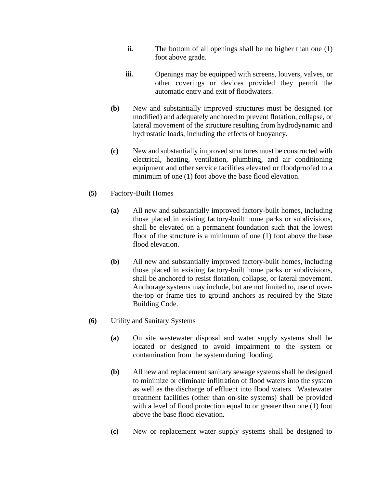- **ii.** The bottom of all openings shall be no higher than one (1) foot above grade.
- **iii.** Openings may be equipped with screens, louvers, valves, or other coverings or devices provided they permit the automatic entry and exit of floodwaters.
- **(b)** New and substantially improved structures must be designed (or modified) and adequately anchored to prevent flotation, collapse, or lateral movement of the structure resulting from hydrodynamic and hydrostatic loads, including the effects of buoyancy.
- **(c)** New and substantially improved structures must be constructed with electrical, heating, ventilation, plumbing, and air conditioning equipment and other service facilities elevated or floodproofed to a minimum of one (1) foot above the base flood elevation.
- **(5)** Factory-Built Homes
	- **(a)** All new and substantially improved factory-built homes, including those placed in existing factory-built home parks or subdivisions, shall be elevated on a permanent foundation such that the lowest floor of the structure is a minimum of one (1) foot above the base flood elevation.
	- **(b)** All new and substantially improved factory-built homes, including those placed in existing factory-built home parks or subdivisions, shall be anchored to resist flotation, collapse, or lateral movement. Anchorage systems may include, but are not limited to, use of overthe-top or frame ties to ground anchors as required by the State Building Code.
- **(6)** Utility and Sanitary Systems
	- **(a)** On site wastewater disposal and water supply systems shall be located or designed to avoid impairment to the system or contamination from the system during flooding.
	- **(b)** All new and replacement sanitary sewage systems shall be designed to minimize or eliminate infiltration of flood waters into the system as well as the discharge of effluent into flood waters. Wastewater treatment facilities (other than on-site systems) shall be provided with a level of flood protection equal to or greater than one (1) foot above the base flood elevation.
	- **(c)** New or replacement water supply systems shall be designed to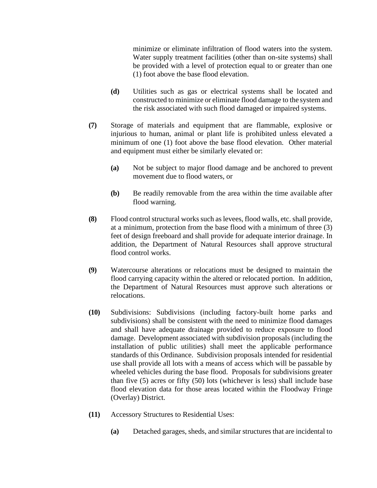minimize or eliminate infiltration of flood waters into the system. Water supply treatment facilities (other than on-site systems) shall be provided with a level of protection equal to or greater than one (1) foot above the base flood elevation.

- **(d)** Utilities such as gas or electrical systems shall be located and constructed to minimize or eliminate flood damage to the system and the risk associated with such flood damaged or impaired systems.
- **(7)** Storage of materials and equipment that are flammable, explosive or injurious to human, animal or plant life is prohibited unless elevated a minimum of one (1) foot above the base flood elevation. Other material and equipment must either be similarly elevated or:
	- **(a)** Not be subject to major flood damage and be anchored to prevent movement due to flood waters, or
	- **(b)** Be readily removable from the area within the time available after flood warning.
- **(8)** Flood control structural works such as levees, flood walls, etc. shall provide, at a minimum, protection from the base flood with a minimum of three (3) feet of design freeboard and shall provide for adequate interior drainage. In addition, the Department of Natural Resources shall approve structural flood control works.
- **(9)** Watercourse alterations or relocations must be designed to maintain the flood carrying capacity within the altered or relocated portion. In addition, the Department of Natural Resources must approve such alterations or relocations.
- **(10)** Subdivisions: Subdivisions (including factory-built home parks and subdivisions) shall be consistent with the need to minimize flood damages and shall have adequate drainage provided to reduce exposure to flood damage. Development associated with subdivision proposals (including the installation of public utilities) shall meet the applicable performance standards of this Ordinance. Subdivision proposals intended for residential use shall provide all lots with a means of access which will be passable by wheeled vehicles during the base flood. Proposals for subdivisions greater than five (5) acres or fifty (50) lots (whichever is less) shall include base flood elevation data for those areas located within the Floodway Fringe (Overlay) District.
- **(11)** Accessory Structures to Residential Uses:
	- **(a)** Detached garages, sheds, and similar structures that are incidental to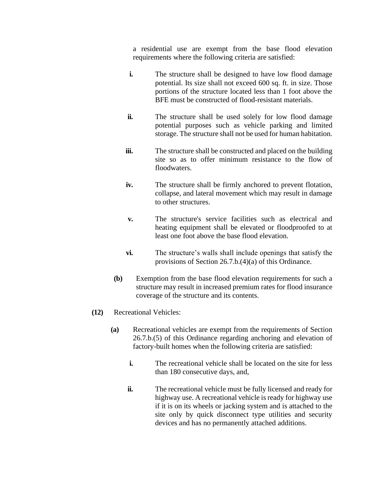a residential use are exempt from the base flood elevation requirements where the following criteria are satisfied:

- **i.** The structure shall be designed to have low flood damage potential. Its size shall not exceed 600 sq. ft. in size. Those portions of the structure located less than 1 foot above the BFE must be constructed of flood-resistant materials.
- **ii.** The structure shall be used solely for low flood damage potential purposes such as vehicle parking and limited storage. The structure shall not be used for human habitation.
- **iii.** The structure shall be constructed and placed on the building site so as to offer minimum resistance to the flow of floodwaters.
- **iv.** The structure shall be firmly anchored to prevent flotation, collapse, and lateral movement which may result in damage to other structures.
- **v.** The structure's service facilities such as electrical and heating equipment shall be elevated or floodproofed to at least one foot above the base flood elevation.
- **vi.** The structure's walls shall include openings that satisfy the provisions of Section 26.7.b.(4)(a) of this Ordinance.
- **(b)** Exemption from the base flood elevation requirements for such a structure may result in increased premium rates for flood insurance coverage of the structure and its contents.
- **(12)** Recreational Vehicles:
	- **(a)** Recreational vehicles are exempt from the requirements of Section 26.7.b.(5) of this Ordinance regarding anchoring and elevation of factory-built homes when the following criteria are satisfied:
		- **i.** The recreational vehicle shall be located on the site for less than 180 consecutive days, and,
		- **ii.** The recreational vehicle must be fully licensed and ready for highway use. A recreational vehicle is ready for highway use if it is on its wheels or jacking system and is attached to the site only by quick disconnect type utilities and security devices and has no permanently attached additions.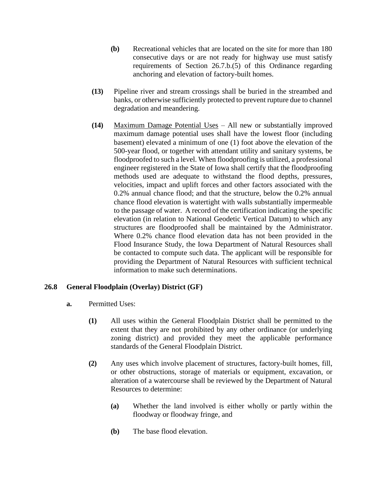- **(b)** Recreational vehicles that are located on the site for more than 180 consecutive days or are not ready for highway use must satisfy requirements of Section 26.7.b.(5) of this Ordinance regarding anchoring and elevation of factory-built homes.
- **(13)** Pipeline river and stream crossings shall be buried in the streambed and banks, or otherwise sufficiently protected to prevent rupture due to channel degradation and meandering.
- **(14)** Maximum Damage Potential Uses All new or substantially improved maximum damage potential uses shall have the lowest floor (including basement) elevated a minimum of one (1) foot above the elevation of the 500-year flood, or together with attendant utility and sanitary systems, be floodproofed to such a level. When floodproofing is utilized, a professional engineer registered in the State of Iowa shall certify that the floodproofing methods used are adequate to withstand the flood depths, pressures, velocities, impact and uplift forces and other factors associated with the 0.2% annual chance flood; and that the structure, below the 0.2% annual chance flood elevation is watertight with walls substantially impermeable to the passage of water. A record of the certification indicating the specific elevation (in relation to National Geodetic Vertical Datum) to which any structures are floodproofed shall be maintained by the Administrator. Where 0.2% chance flood elevation data has not been provided in the Flood Insurance Study, the Iowa Department of Natural Resources shall be contacted to compute such data. The applicant will be responsible for providing the Department of Natural Resources with sufficient technical information to make such determinations.

# **26.8 General Floodplain (Overlay) District (GF)**

- **a.** Permitted Uses:
	- **(1)** All uses within the General Floodplain District shall be permitted to the extent that they are not prohibited by any other ordinance (or underlying zoning district) and provided they meet the applicable performance standards of the General Floodplain District.
	- **(2)** Any uses which involve placement of structures, factory-built homes, fill, or other obstructions, storage of materials or equipment, excavation, or alteration of a watercourse shall be reviewed by the Department of Natural Resources to determine:
		- **(a)** Whether the land involved is either wholly or partly within the floodway or floodway fringe, and
		- **(b)** The base flood elevation.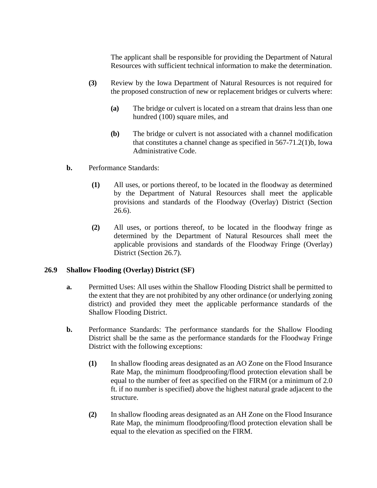The applicant shall be responsible for providing the Department of Natural Resources with sufficient technical information to make the determination.

- **(3)** Review by the Iowa Department of Natural Resources is not required for the proposed construction of new or replacement bridges or culverts where:
	- **(a)** The bridge or culvert is located on a stream that drains less than one hundred (100) square miles, and
	- **(b)** The bridge or culvert is not associated with a channel modification that constitutes a channel change as specified in 567-71.2(1)b, Iowa Administrative Code.
- **b.** Performance Standards:
	- **(1)** All uses, or portions thereof, to be located in the floodway as determined by the Department of Natural Resources shall meet the applicable provisions and standards of the Floodway (Overlay) District (Section 26.6).
	- **(2)** All uses, or portions thereof, to be located in the floodway fringe as determined by the Department of Natural Resources shall meet the applicable provisions and standards of the Floodway Fringe (Overlay) District (Section 26.7).

# **26.9 Shallow Flooding (Overlay) District (SF)**

- **a.** Permitted Uses: All uses within the Shallow Flooding District shall be permitted to the extent that they are not prohibited by any other ordinance (or underlying zoning district) and provided they meet the applicable performance standards of the Shallow Flooding District.
- **b.** Performance Standards: The performance standards for the Shallow Flooding District shall be the same as the performance standards for the Floodway Fringe District with the following exceptions:
	- **(1)** In shallow flooding areas designated as an AO Zone on the Flood Insurance Rate Map, the minimum floodproofing/flood protection elevation shall be equal to the number of feet as specified on the FIRM (or a minimum of 2.0 ft. if no number is specified) above the highest natural grade adjacent to the structure.
	- **(2)** In shallow flooding areas designated as an AH Zone on the Flood Insurance Rate Map, the minimum floodproofing/flood protection elevation shall be equal to the elevation as specified on the FIRM.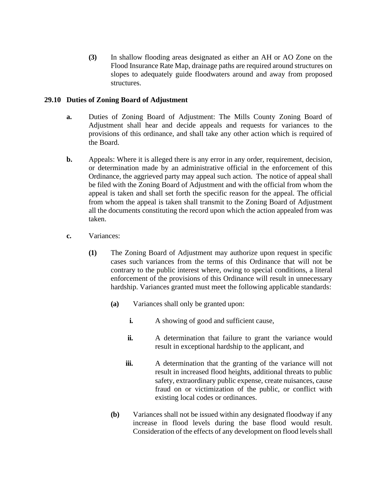**(3)** In shallow flooding areas designated as either an AH or AO Zone on the Flood Insurance Rate Map, drainage paths are required around structures on slopes to adequately guide floodwaters around and away from proposed structures.

## **29.10 Duties of Zoning Board of Adjustment**

- **a.** Duties of Zoning Board of Adjustment: The Mills County Zoning Board of Adjustment shall hear and decide appeals and requests for variances to the provisions of this ordinance, and shall take any other action which is required of the Board.
- **b.** Appeals: Where it is alleged there is any error in any order, requirement, decision, or determination made by an administrative official in the enforcement of this Ordinance, the aggrieved party may appeal such action. The notice of appeal shall be filed with the Zoning Board of Adjustment and with the official from whom the appeal is taken and shall set forth the specific reason for the appeal. The official from whom the appeal is taken shall transmit to the Zoning Board of Adjustment all the documents constituting the record upon which the action appealed from was taken.
- **c.** Variances:
	- **(1)** The Zoning Board of Adjustment may authorize upon request in specific cases such variances from the terms of this Ordinance that will not be contrary to the public interest where, owing to special conditions, a literal enforcement of the provisions of this Ordinance will result in unnecessary hardship. Variances granted must meet the following applicable standards:
		- **(a)** Variances shall only be granted upon:
			- **i.** A showing of good and sufficient cause,
			- **ii.** A determination that failure to grant the variance would result in exceptional hardship to the applicant, and
			- **iii.** A determination that the granting of the variance will not result in increased flood heights, additional threats to public safety, extraordinary public expense, create nuisances, cause fraud on or victimization of the public, or conflict with existing local codes or ordinances.
		- **(b)** Variances shall not be issued within any designated floodway if any increase in flood levels during the base flood would result. Consideration of the effects of any development on flood levels shall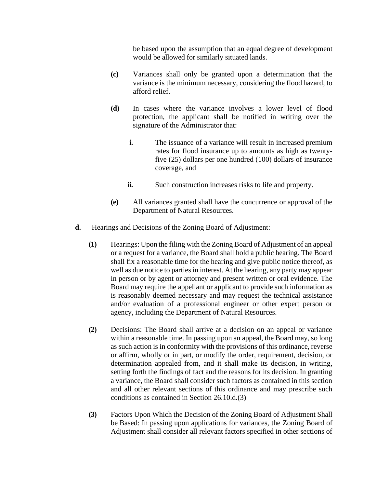be based upon the assumption that an equal degree of development would be allowed for similarly situated lands.

- **(c)** Variances shall only be granted upon a determination that the variance is the minimum necessary, considering the flood hazard, to afford relief.
- **(d)** In cases where the variance involves a lower level of flood protection, the applicant shall be notified in writing over the signature of the Administrator that:
	- **i.** The issuance of a variance will result in increased premium rates for flood insurance up to amounts as high as twentyfive (25) dollars per one hundred (100) dollars of insurance coverage, and
	- **ii.** Such construction increases risks to life and property.
- **(e)** All variances granted shall have the concurrence or approval of the Department of Natural Resources.
- **d.** Hearings and Decisions of the Zoning Board of Adjustment:
	- **(1)** Hearings: Upon the filing with the Zoning Board of Adjustment of an appeal or a request for a variance, the Board shall hold a public hearing. The Board shall fix a reasonable time for the hearing and give public notice thereof, as well as due notice to parties in interest. At the hearing, any party may appear in person or by agent or attorney and present written or oral evidence. The Board may require the appellant or applicant to provide such information as is reasonably deemed necessary and may request the technical assistance and/or evaluation of a professional engineer or other expert person or agency, including the Department of Natural Resources.
	- **(2)** Decisions: The Board shall arrive at a decision on an appeal or variance within a reasonable time. In passing upon an appeal, the Board may, so long as such action is in conformity with the provisions of this ordinance, reverse or affirm, wholly or in part, or modify the order, requirement, decision, or determination appealed from, and it shall make its decision, in writing, setting forth the findings of fact and the reasons for its decision. In granting a variance, the Board shall consider such factors as contained in this section and all other relevant sections of this ordinance and may prescribe such conditions as contained in Section 26.10.d.(3)
	- **(3)** Factors Upon Which the Decision of the Zoning Board of Adjustment Shall be Based: In passing upon applications for variances, the Zoning Board of Adjustment shall consider all relevant factors specified in other sections of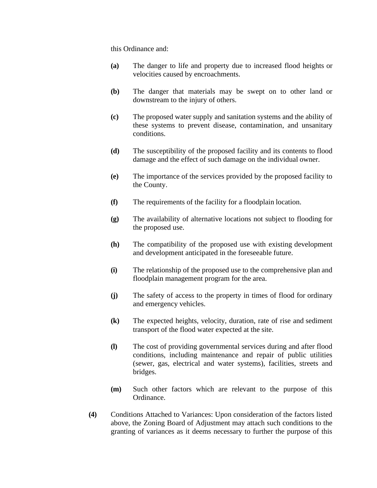this Ordinance and:

- **(a)** The danger to life and property due to increased flood heights or velocities caused by encroachments.
- **(b)** The danger that materials may be swept on to other land or downstream to the injury of others.
- **(c)** The proposed water supply and sanitation systems and the ability of these systems to prevent disease, contamination, and unsanitary conditions.
- **(d)** The susceptibility of the proposed facility and its contents to flood damage and the effect of such damage on the individual owner.
- **(e)** The importance of the services provided by the proposed facility to the County.
- **(f)** The requirements of the facility for a floodplain location.
- **(g)** The availability of alternative locations not subject to flooding for the proposed use.
- **(h)** The compatibility of the proposed use with existing development and development anticipated in the foreseeable future.
- **(i)** The relationship of the proposed use to the comprehensive plan and floodplain management program for the area.
- **(j)** The safety of access to the property in times of flood for ordinary and emergency vehicles.
- **(k)** The expected heights, velocity, duration, rate of rise and sediment transport of the flood water expected at the site.
- **(l)** The cost of providing governmental services during and after flood conditions, including maintenance and repair of public utilities (sewer, gas, electrical and water systems), facilities, streets and bridges.
- **(m)** Such other factors which are relevant to the purpose of this Ordinance.
- **(4)** Conditions Attached to Variances: Upon consideration of the factors listed above, the Zoning Board of Adjustment may attach such conditions to the granting of variances as it deems necessary to further the purpose of this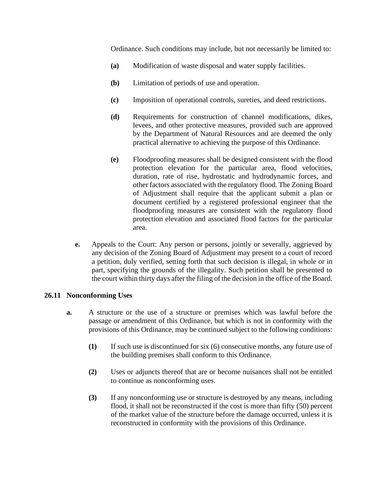Ordinance. Such conditions may include, but not necessarily be limited to:

- **(a)** Modification of waste disposal and water supply facilities.
- **(b)** Limitation of periods of use and operation.
- **(c)** Imposition of operational controls, sureties, and deed restrictions.
- **(d)** Requirements for construction of channel modifications, dikes, levees, and other protective measures, provided such are approved by the Department of Natural Resources and are deemed the only practical alternative to achieving the purpose of this Ordinance.
- **(e)** Floodproofing measures shall be designed consistent with the flood protection elevation for the particular area, flood velocities, duration, rate of rise, hydrostatic and hydrodynamic forces, and other factors associated with the regulatory flood. The Zoning Board of Adjustment shall require that the applicant submit a plan or document certified by a registered professional engineer that the floodproofing measures are consistent with the regulatory flood protection elevation and associated flood factors for the particular area.
- **e.** Appeals to the Court: Any person or persons, jointly or severally, aggrieved by any decision of the Zoning Board of Adjustment may present to a court of record a petition, duly verified, setting forth that such decision is illegal, in whole or in part, specifying the grounds of the illegality. Such petition shall be presented to the court within thirty days after the filing of the decision in the office of the Board.

# **26.11 Nonconforming Uses**

- **a.** A structure or the use of a structure or premises which was lawful before the passage or amendment of this Ordinance, but which is not in conformity with the provisions of this Ordinance, may be continued subject to the following conditions:
	- **(1)** If such use is discontinued for six (6) consecutive months, any future use of the building premises shall conform to this Ordinance.
	- **(2)** Uses or adjuncts thereof that are or become nuisances shall not be entitled to continue as nonconforming uses.
	- **(3)** If any nonconforming use or structure is destroyed by any means, including flood, it shall not be reconstructed if the cost is more than fifty (50) percent of the market value of the structure before the damage occurred, unless it is reconstructed in conformity with the provisions of this Ordinance.